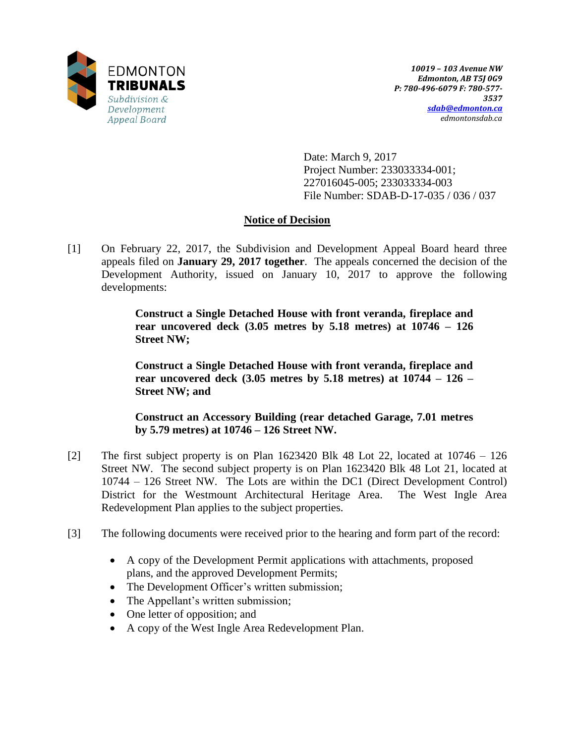

Date: March 9, 2017 Project Number: 233033334-001; 227016045-005; 233033334-003 File Number: SDAB-D-17-035 / 036 / 037

# **Notice of Decision**

[1] On February 22, 2017, the Subdivision and Development Appeal Board heard three appeals filed on **January 29, 2017 together**. The appeals concerned the decision of the Development Authority, issued on January 10, 2017 to approve the following developments:

> **Construct a Single Detached House with front veranda, fireplace and rear uncovered deck (3.05 metres by 5.18 metres) at 10746 – 126 Street NW;**

> **Construct a Single Detached House with front veranda, fireplace and rear uncovered deck (3.05 metres by 5.18 metres) at 10744 – 126 – Street NW; and**

> **Construct an Accessory Building (rear detached Garage, 7.01 metres by 5.79 metres) at 10746 – 126 Street NW.**

- [2] The first subject property is on Plan 1623420 Blk 48 Lot 22, located at 10746 126 Street NW. The second subject property is on Plan 1623420 Blk 48 Lot 21, located at 10744 – 126 Street NW. The Lots are within the DC1 (Direct Development Control) District for the Westmount Architectural Heritage Area. The West Ingle Area Redevelopment Plan applies to the subject properties.
- [3] The following documents were received prior to the hearing and form part of the record:
	- A copy of the Development Permit applications with attachments, proposed plans, and the approved Development Permits;
	- The Development Officer's written submission;
	- The Appellant's written submission;
	- One letter of opposition; and
	- A copy of the West Ingle Area Redevelopment Plan.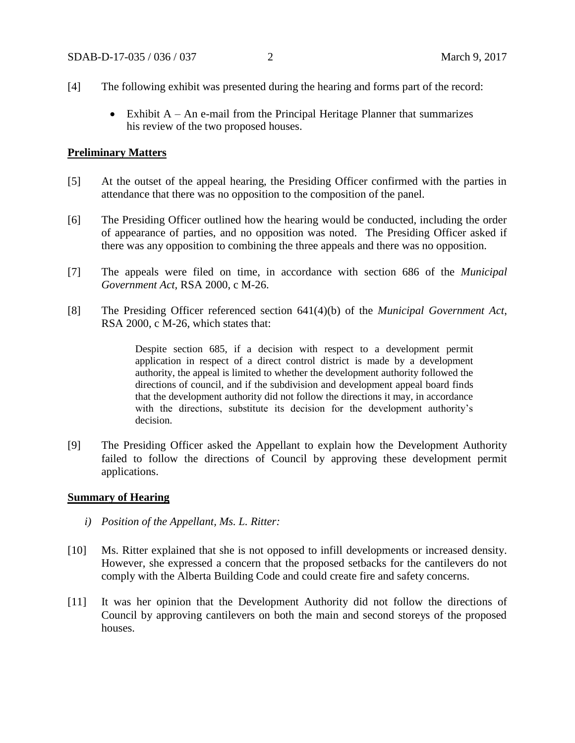- [4] The following exhibit was presented during the hearing and forms part of the record:
	- $\bullet$  Exhibit A An e-mail from the Principal Heritage Planner that summarizes his review of the two proposed houses.

### **Preliminary Matters**

- [5] At the outset of the appeal hearing, the Presiding Officer confirmed with the parties in attendance that there was no opposition to the composition of the panel.
- [6] The Presiding Officer outlined how the hearing would be conducted, including the order of appearance of parties, and no opposition was noted. The Presiding Officer asked if there was any opposition to combining the three appeals and there was no opposition.
- [7] The appeals were filed on time, in accordance with section 686 of the *Municipal Government Act,* RSA 2000, c M-26.
- [8] The Presiding Officer referenced section 641(4)(b) of the *Municipal Government Act*, RSA 2000, c M-26, which states that:

Despite section 685, if a decision with respect to a development permit application in respect of a direct control district is made by a development authority, the appeal is limited to whether the development authority followed the directions of council, and if the subdivision and development appeal board finds that the development authority did not follow the directions it may, in accordance with the directions, substitute its decision for the development authority's decision.

[9] The Presiding Officer asked the Appellant to explain how the Development Authority failed to follow the directions of Council by approving these development permit applications.

### **Summary of Hearing**

- *i) Position of the Appellant, Ms. L. Ritter:*
- [10] Ms. Ritter explained that she is not opposed to infill developments or increased density. However, she expressed a concern that the proposed setbacks for the cantilevers do not comply with the Alberta Building Code and could create fire and safety concerns.
- [11] It was her opinion that the Development Authority did not follow the directions of Council by approving cantilevers on both the main and second storeys of the proposed houses.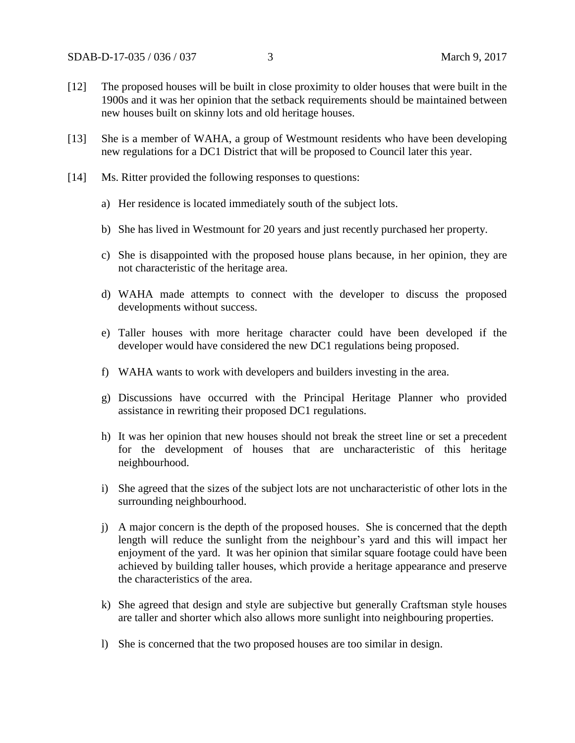- [12] The proposed houses will be built in close proximity to older houses that were built in the 1900s and it was her opinion that the setback requirements should be maintained between new houses built on skinny lots and old heritage houses.
- [13] She is a member of WAHA, a group of Westmount residents who have been developing new regulations for a DC1 District that will be proposed to Council later this year.
- [14] Ms. Ritter provided the following responses to questions:
	- a) Her residence is located immediately south of the subject lots.
	- b) She has lived in Westmount for 20 years and just recently purchased her property.
	- c) She is disappointed with the proposed house plans because, in her opinion, they are not characteristic of the heritage area.
	- d) WAHA made attempts to connect with the developer to discuss the proposed developments without success.
	- e) Taller houses with more heritage character could have been developed if the developer would have considered the new DC1 regulations being proposed.
	- f) WAHA wants to work with developers and builders investing in the area.
	- g) Discussions have occurred with the Principal Heritage Planner who provided assistance in rewriting their proposed DC1 regulations.
	- h) It was her opinion that new houses should not break the street line or set a precedent for the development of houses that are uncharacteristic of this heritage neighbourhood.
	- i) She agreed that the sizes of the subject lots are not uncharacteristic of other lots in the surrounding neighbourhood.
	- j) A major concern is the depth of the proposed houses. She is concerned that the depth length will reduce the sunlight from the neighbour's yard and this will impact her enjoyment of the yard. It was her opinion that similar square footage could have been achieved by building taller houses, which provide a heritage appearance and preserve the characteristics of the area.
	- k) She agreed that design and style are subjective but generally Craftsman style houses are taller and shorter which also allows more sunlight into neighbouring properties.
	- l) She is concerned that the two proposed houses are too similar in design.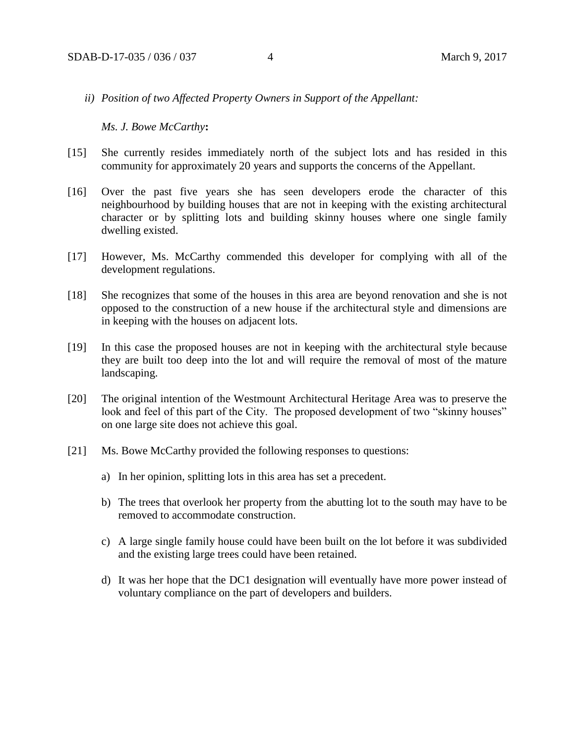*ii) Position of two Affected Property Owners in Support of the Appellant:*

*Ms. J. Bowe McCarthy***:**

- [15] She currently resides immediately north of the subject lots and has resided in this community for approximately 20 years and supports the concerns of the Appellant.
- [16] Over the past five years she has seen developers erode the character of this neighbourhood by building houses that are not in keeping with the existing architectural character or by splitting lots and building skinny houses where one single family dwelling existed.
- [17] However, Ms. McCarthy commended this developer for complying with all of the development regulations.
- [18] She recognizes that some of the houses in this area are beyond renovation and she is not opposed to the construction of a new house if the architectural style and dimensions are in keeping with the houses on adjacent lots.
- [19] In this case the proposed houses are not in keeping with the architectural style because they are built too deep into the lot and will require the removal of most of the mature landscaping.
- [20] The original intention of the Westmount Architectural Heritage Area was to preserve the look and feel of this part of the City. The proposed development of two "skinny houses" on one large site does not achieve this goal.
- [21] Ms. Bowe McCarthy provided the following responses to questions:
	- a) In her opinion, splitting lots in this area has set a precedent.
	- b) The trees that overlook her property from the abutting lot to the south may have to be removed to accommodate construction.
	- c) A large single family house could have been built on the lot before it was subdivided and the existing large trees could have been retained.
	- d) It was her hope that the DC1 designation will eventually have more power instead of voluntary compliance on the part of developers and builders.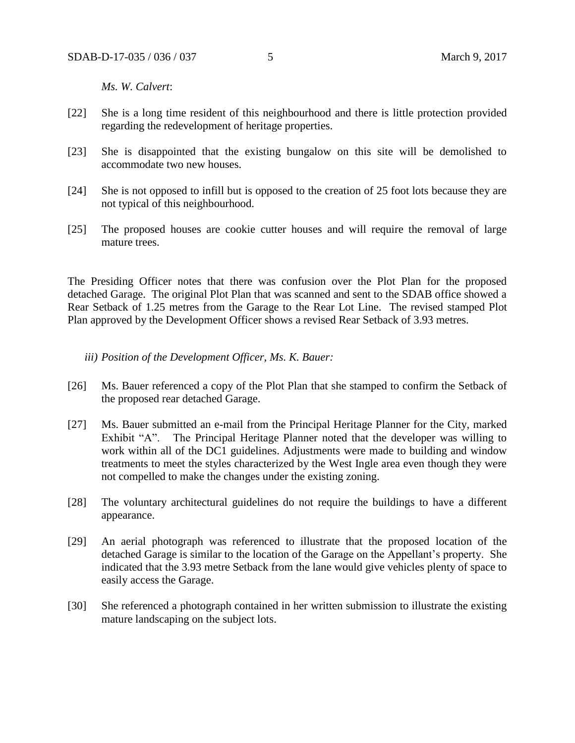*Ms. W. Calvert*:

- [22] She is a long time resident of this neighbourhood and there is little protection provided regarding the redevelopment of heritage properties.
- [23] She is disappointed that the existing bungalow on this site will be demolished to accommodate two new houses.
- [24] She is not opposed to infill but is opposed to the creation of 25 foot lots because they are not typical of this neighbourhood.
- [25] The proposed houses are cookie cutter houses and will require the removal of large mature trees.

The Presiding Officer notes that there was confusion over the Plot Plan for the proposed detached Garage. The original Plot Plan that was scanned and sent to the SDAB office showed a Rear Setback of 1.25 metres from the Garage to the Rear Lot Line. The revised stamped Plot Plan approved by the Development Officer shows a revised Rear Setback of 3.93 metres.

### *iii) Position of the Development Officer, Ms. K. Bauer:*

- [26] Ms. Bauer referenced a copy of the Plot Plan that she stamped to confirm the Setback of the proposed rear detached Garage.
- [27] Ms. Bauer submitted an e-mail from the Principal Heritage Planner for the City, marked Exhibit "A". The Principal Heritage Planner noted that the developer was willing to work within all of the DC1 guidelines. Adjustments were made to building and window treatments to meet the styles characterized by the West Ingle area even though they were not compelled to make the changes under the existing zoning.
- [28] The voluntary architectural guidelines do not require the buildings to have a different appearance.
- [29] An aerial photograph was referenced to illustrate that the proposed location of the detached Garage is similar to the location of the Garage on the Appellant's property. She indicated that the 3.93 metre Setback from the lane would give vehicles plenty of space to easily access the Garage.
- [30] She referenced a photograph contained in her written submission to illustrate the existing mature landscaping on the subject lots.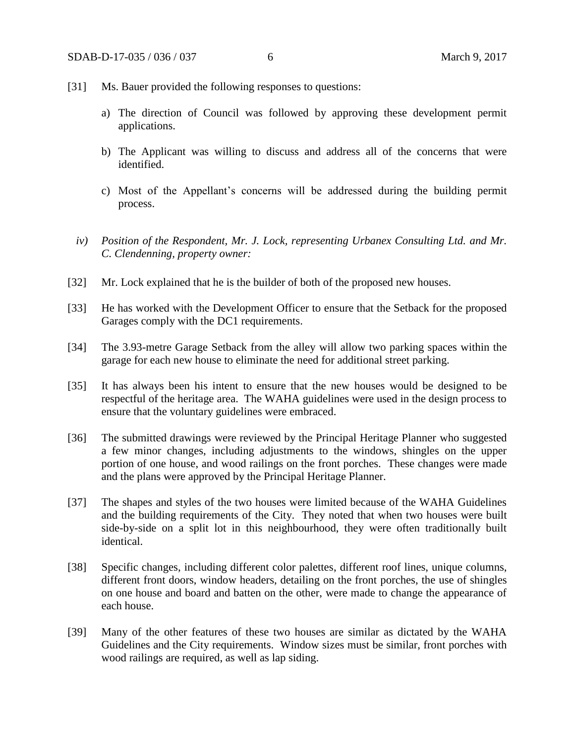- [31] Ms. Bauer provided the following responses to questions:
	- a) The direction of Council was followed by approving these development permit applications.
	- b) The Applicant was willing to discuss and address all of the concerns that were identified.
	- c) Most of the Appellant's concerns will be addressed during the building permit process.
	- *iv) Position of the Respondent, Mr. J. Lock, representing Urbanex Consulting Ltd. and Mr. C. Clendenning, property owner:*
- [32] Mr. Lock explained that he is the builder of both of the proposed new houses.
- [33] He has worked with the Development Officer to ensure that the Setback for the proposed Garages comply with the DC1 requirements.
- [34] The 3.93-metre Garage Setback from the alley will allow two parking spaces within the garage for each new house to eliminate the need for additional street parking.
- [35] It has always been his intent to ensure that the new houses would be designed to be respectful of the heritage area. The WAHA guidelines were used in the design process to ensure that the voluntary guidelines were embraced.
- [36] The submitted drawings were reviewed by the Principal Heritage Planner who suggested a few minor changes, including adjustments to the windows, shingles on the upper portion of one house, and wood railings on the front porches. These changes were made and the plans were approved by the Principal Heritage Planner.
- [37] The shapes and styles of the two houses were limited because of the WAHA Guidelines and the building requirements of the City. They noted that when two houses were built side-by-side on a split lot in this neighbourhood, they were often traditionally built identical.
- [38] Specific changes, including different color palettes, different roof lines, unique columns, different front doors, window headers, detailing on the front porches, the use of shingles on one house and board and batten on the other, were made to change the appearance of each house.
- [39] Many of the other features of these two houses are similar as dictated by the WAHA Guidelines and the City requirements. Window sizes must be similar, front porches with wood railings are required, as well as lap siding.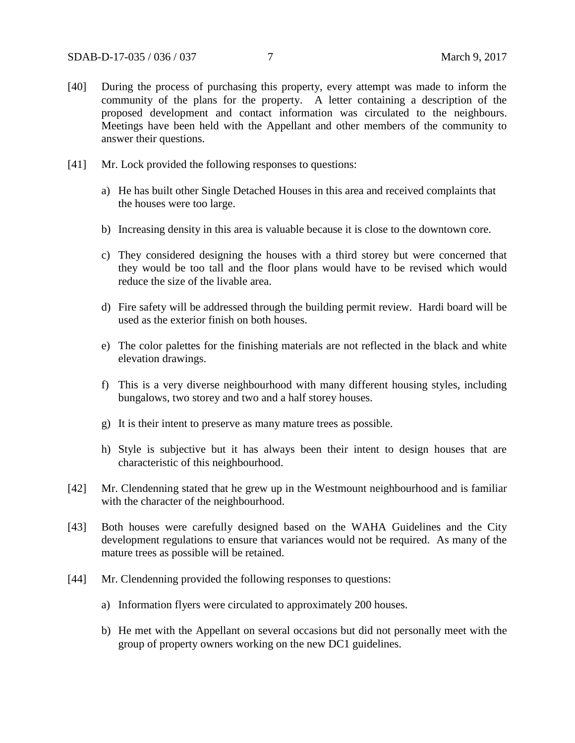- [40] During the process of purchasing this property, every attempt was made to inform the community of the plans for the property. A letter containing a description of the proposed development and contact information was circulated to the neighbours. Meetings have been held with the Appellant and other members of the community to answer their questions.
- [41] Mr. Lock provided the following responses to questions:
	- a) He has built other Single Detached Houses in this area and received complaints that the houses were too large.
	- b) Increasing density in this area is valuable because it is close to the downtown core.
	- c) They considered designing the houses with a third storey but were concerned that they would be too tall and the floor plans would have to be revised which would reduce the size of the livable area.
	- d) Fire safety will be addressed through the building permit review. Hardi board will be used as the exterior finish on both houses.
	- e) The color palettes for the finishing materials are not reflected in the black and white elevation drawings.
	- f) This is a very diverse neighbourhood with many different housing styles, including bungalows, two storey and two and a half storey houses.
	- g) It is their intent to preserve as many mature trees as possible.
	- h) Style is subjective but it has always been their intent to design houses that are characteristic of this neighbourhood.
- [42] Mr. Clendenning stated that he grew up in the Westmount neighbourhood and is familiar with the character of the neighbourhood.
- [43] Both houses were carefully designed based on the WAHA Guidelines and the City development regulations to ensure that variances would not be required. As many of the mature trees as possible will be retained.
- [44] Mr. Clendenning provided the following responses to questions:
	- a) Information flyers were circulated to approximately 200 houses.
	- b) He met with the Appellant on several occasions but did not personally meet with the group of property owners working on the new DC1 guidelines.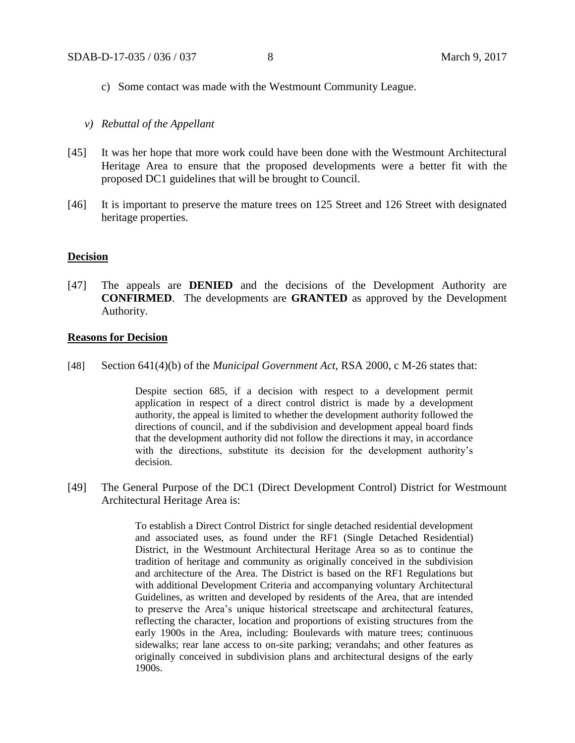- c) Some contact was made with the Westmount Community League.
- *v) Rebuttal of the Appellant*
- [45] It was her hope that more work could have been done with the Westmount Architectural Heritage Area to ensure that the proposed developments were a better fit with the proposed DC1 guidelines that will be brought to Council.
- [46] It is important to preserve the mature trees on 125 Street and 126 Street with designated heritage properties.

#### **Decision**

[47] The appeals are **DENIED** and the decisions of the Development Authority are **CONFIRMED**. The developments are **GRANTED** as approved by the Development Authority.

### **Reasons for Decision**

[48] Section 641(4)(b) of the *Municipal Government Act*, RSA 2000, c M-26 states that:

Despite section 685, if a decision with respect to a development permit application in respect of a direct control district is made by a development authority, the appeal is limited to whether the development authority followed the directions of council, and if the subdivision and development appeal board finds that the development authority did not follow the directions it may, in accordance with the directions, substitute its decision for the development authority's decision.

[49] The General Purpose of the DC1 (Direct Development Control) District for Westmount Architectural Heritage Area is:

> To establish a Direct Control District for single detached residential development and associated uses, as found under the RF1 (Single Detached Residential) District, in the Westmount Architectural Heritage Area so as to continue the tradition of heritage and community as originally conceived in the subdivision and architecture of the Area. The District is based on the RF1 Regulations but with additional Development Criteria and accompanying voluntary Architectural Guidelines, as written and developed by residents of the Area, that are intended to preserve the Area's unique historical streetscape and architectural features, reflecting the character, location and proportions of existing structures from the early 1900s in the Area, including: Boulevards with mature trees; continuous sidewalks; rear lane access to on-site parking; verandahs; and other features as originally conceived in subdivision plans and architectural designs of the early 1900s.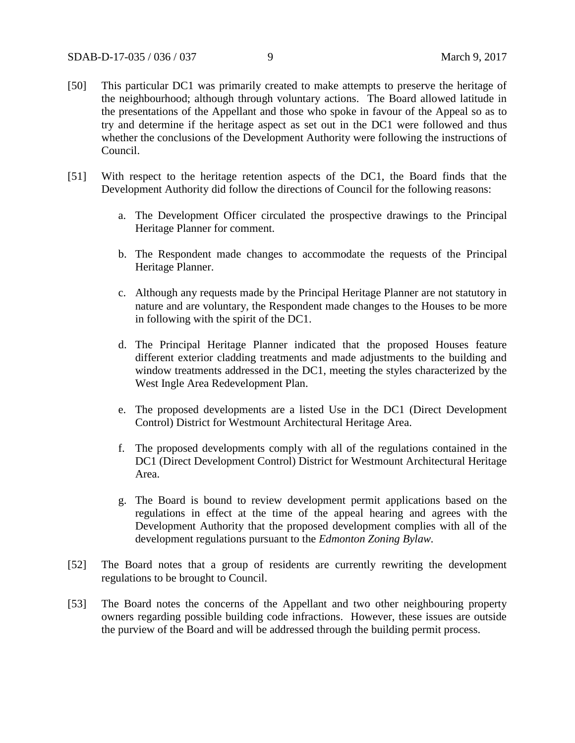- [50] This particular DC1 was primarily created to make attempts to preserve the heritage of the neighbourhood; although through voluntary actions. The Board allowed latitude in the presentations of the Appellant and those who spoke in favour of the Appeal so as to try and determine if the heritage aspect as set out in the DC1 were followed and thus whether the conclusions of the Development Authority were following the instructions of Council.
- [51] With respect to the heritage retention aspects of the DC1, the Board finds that the Development Authority did follow the directions of Council for the following reasons:
	- a. The Development Officer circulated the prospective drawings to the Principal Heritage Planner for comment.
	- b. The Respondent made changes to accommodate the requests of the Principal Heritage Planner.
	- c. Although any requests made by the Principal Heritage Planner are not statutory in nature and are voluntary, the Respondent made changes to the Houses to be more in following with the spirit of the DC1.
	- d. The Principal Heritage Planner indicated that the proposed Houses feature different exterior cladding treatments and made adjustments to the building and window treatments addressed in the DC1, meeting the styles characterized by the West Ingle Area Redevelopment Plan.
	- e. The proposed developments are a listed Use in the DC1 (Direct Development Control) District for Westmount Architectural Heritage Area.
	- f. The proposed developments comply with all of the regulations contained in the DC1 (Direct Development Control) District for Westmount Architectural Heritage Area.
	- g. The Board is bound to review development permit applications based on the regulations in effect at the time of the appeal hearing and agrees with the Development Authority that the proposed development complies with all of the development regulations pursuant to the *Edmonton Zoning Bylaw.*
- [52] The Board notes that a group of residents are currently rewriting the development regulations to be brought to Council.
- [53] The Board notes the concerns of the Appellant and two other neighbouring property owners regarding possible building code infractions. However, these issues are outside the purview of the Board and will be addressed through the building permit process.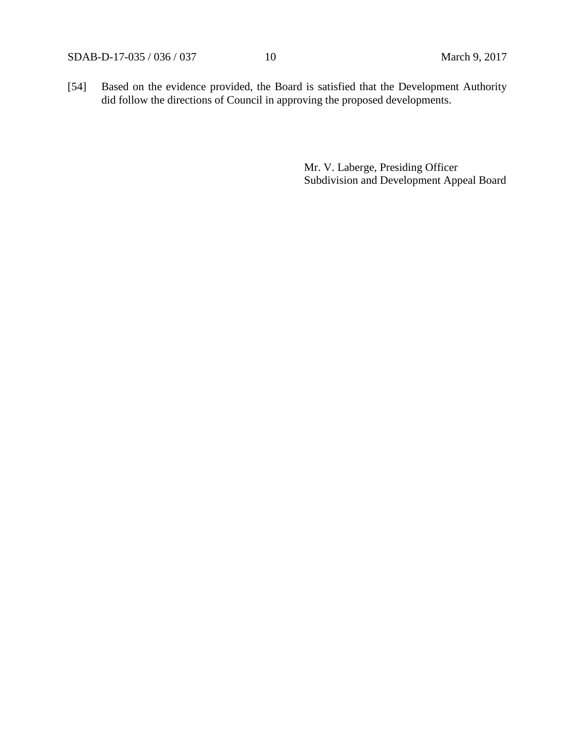SDAB-D-17-035 / 036 / 037 10 March 9, 2017

[54] Based on the evidence provided, the Board is satisfied that the Development Authority did follow the directions of Council in approving the proposed developments.

> Mr. V. Laberge, Presiding Officer Subdivision and Development Appeal Board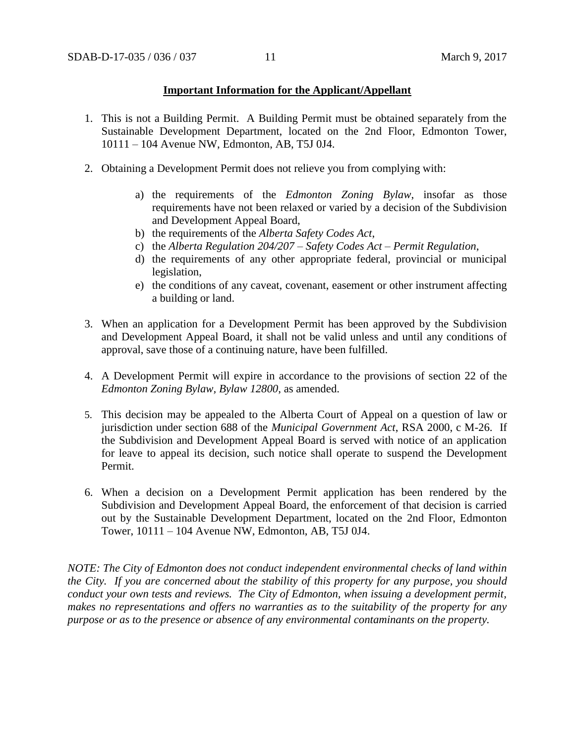### **Important Information for the Applicant/Appellant**

- 1. This is not a Building Permit. A Building Permit must be obtained separately from the Sustainable Development Department, located on the 2nd Floor, Edmonton Tower, 10111 – 104 Avenue NW, Edmonton, AB, T5J 0J4.
- 2. Obtaining a Development Permit does not relieve you from complying with:
	- a) the requirements of the *Edmonton Zoning Bylaw*, insofar as those requirements have not been relaxed or varied by a decision of the Subdivision and Development Appeal Board,
	- b) the requirements of the *Alberta Safety Codes Act*,
	- c) the *Alberta Regulation 204/207 – Safety Codes Act – Permit Regulation*,
	- d) the requirements of any other appropriate federal, provincial or municipal legislation,
	- e) the conditions of any caveat, covenant, easement or other instrument affecting a building or land.
- 3. When an application for a Development Permit has been approved by the Subdivision and Development Appeal Board, it shall not be valid unless and until any conditions of approval, save those of a continuing nature, have been fulfilled.
- 4. A Development Permit will expire in accordance to the provisions of section 22 of the *Edmonton Zoning Bylaw, Bylaw 12800*, as amended.
- 5. This decision may be appealed to the Alberta Court of Appeal on a question of law or jurisdiction under section 688 of the *Municipal Government Act*, RSA 2000, c M-26. If the Subdivision and Development Appeal Board is served with notice of an application for leave to appeal its decision, such notice shall operate to suspend the Development Permit.
- 6. When a decision on a Development Permit application has been rendered by the Subdivision and Development Appeal Board, the enforcement of that decision is carried out by the Sustainable Development Department, located on the 2nd Floor, Edmonton Tower, 10111 – 104 Avenue NW, Edmonton, AB, T5J 0J4.

*NOTE: The City of Edmonton does not conduct independent environmental checks of land within the City. If you are concerned about the stability of this property for any purpose, you should conduct your own tests and reviews. The City of Edmonton, when issuing a development permit, makes no representations and offers no warranties as to the suitability of the property for any purpose or as to the presence or absence of any environmental contaminants on the property.*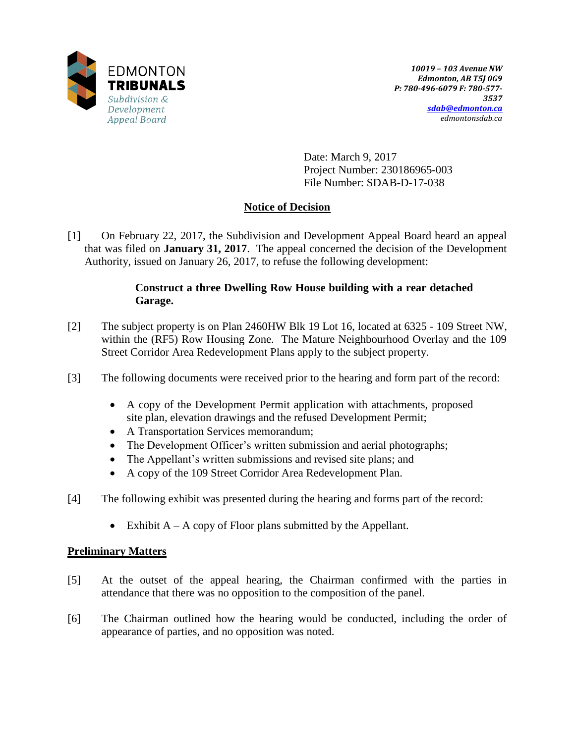

Date: March 9, 2017 Project Number: 230186965-003 File Number: SDAB-D-17-038

# **Notice of Decision**

[1] On February 22, 2017, the Subdivision and Development Appeal Board heard an appeal that was filed on **January 31, 2017**. The appeal concerned the decision of the Development Authority, issued on January 26, 2017, to refuse the following development:

# **Construct a three Dwelling Row House building with a rear detached Garage.**

- [2] The subject property is on Plan 2460HW Blk 19 Lot 16, located at 6325 109 Street NW, within the (RF5) Row Housing Zone. The Mature Neighbourhood Overlay and the 109 Street Corridor Area Redevelopment Plans apply to the subject property.
- [3] The following documents were received prior to the hearing and form part of the record:
	- A copy of the Development Permit application with attachments, proposed site plan, elevation drawings and the refused Development Permit;
	- A Transportation Services memorandum;
	- The Development Officer's written submission and aerial photographs;
	- The Appellant's written submissions and revised site plans; and
	- A copy of the 109 Street Corridor Area Redevelopment Plan.
- [4] The following exhibit was presented during the hearing and forms part of the record:
	- Exhibit  $A A$  copy of Floor plans submitted by the Appellant.

## **Preliminary Matters**

- [5] At the outset of the appeal hearing, the Chairman confirmed with the parties in attendance that there was no opposition to the composition of the panel.
- [6] The Chairman outlined how the hearing would be conducted, including the order of appearance of parties, and no opposition was noted.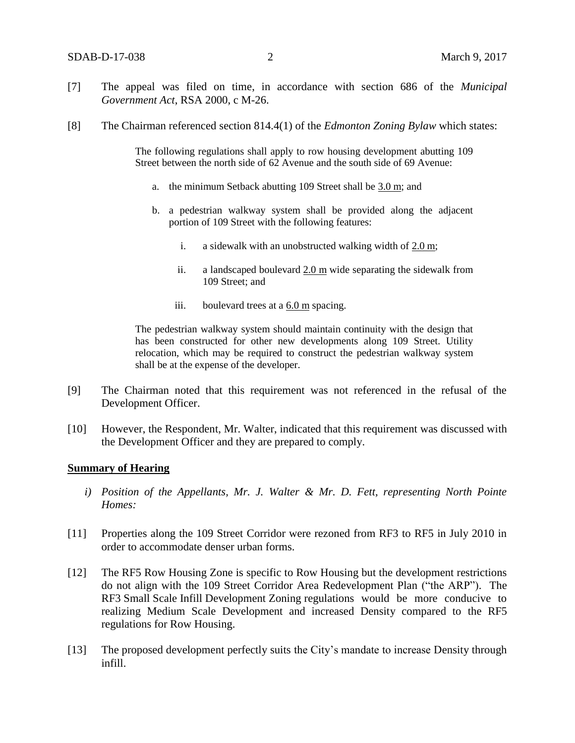- [7] The appeal was filed on time, in accordance with section 686 of the *Municipal Government Act*, RSA 2000, c M-26.
- [8] The Chairman referenced section 814.4(1) of the *Edmonton Zoning Bylaw* which states:

The following regulations shall apply to row housing development abutting 109 Street between the north side of 62 Avenue and the south side of 69 Avenue:

- a. the minimum Setback abutting 109 Street shall be [3.0 m;](javascript:void(0);) and
- b. a pedestrian walkway system shall be provided along the adjacent portion of 109 Street with the following features:
	- i. a sidewalk with an unobstructed walking width of  $2.0 \text{ m}$ ;
	- ii. a landscaped boulevard [2.0 m](javascript:void(0);) wide separating the sidewalk from 109 Street; and
	- iii. boulevard trees at a  $6.0 \text{ m}$  spacing.

The pedestrian walkway system should maintain continuity with the design that has been constructed for other new developments along 109 Street. Utility relocation, which may be required to construct the pedestrian walkway system shall be at the expense of the developer.

- [9] The Chairman noted that this requirement was not referenced in the refusal of the Development Officer.
- [10] However, the Respondent, Mr. Walter, indicated that this requirement was discussed with the Development Officer and they are prepared to comply.

### **Summary of Hearing**

- *i) Position of the Appellants, Mr. J. Walter & Mr. D. Fett, representing North Pointe Homes:*
- [11] Properties along the 109 Street Corridor were rezoned from RF3 to RF5 in July 2010 in order to accommodate denser urban forms.
- [12] The RF5 Row Housing Zone is specific to Row Housing but the development restrictions do not align with the 109 Street Corridor Area Redevelopment Plan ("the ARP"). The RF3 Small Scale Infill Development Zoning regulations would be more conducive to realizing Medium Scale Development and increased Density compared to the RF5 regulations for Row Housing.
- [13] The proposed development perfectly suits the City's mandate to increase Density through infill.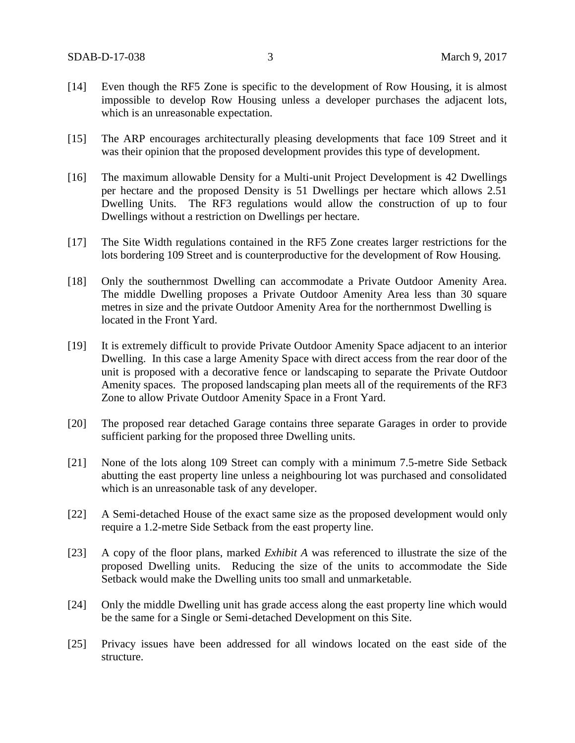- [14] Even though the RF5 Zone is specific to the development of Row Housing, it is almost impossible to develop Row Housing unless a developer purchases the adjacent lots, which is an unreasonable expectation.
- [15] The ARP encourages architecturally pleasing developments that face 109 Street and it was their opinion that the proposed development provides this type of development.
- [16] The maximum allowable Density for a Multi-unit Project Development is 42 Dwellings per hectare and the proposed Density is 51 Dwellings per hectare which allows 2.51 Dwelling Units. The RF3 regulations would allow the construction of up to four Dwellings without a restriction on Dwellings per hectare.
- [17] The Site Width regulations contained in the RF5 Zone creates larger restrictions for the lots bordering 109 Street and is counterproductive for the development of Row Housing.
- [18] Only the southernmost Dwelling can accommodate a Private Outdoor Amenity Area. The middle Dwelling proposes a Private Outdoor Amenity Area less than 30 square metres in size and the private Outdoor Amenity Area for the northernmost Dwelling is located in the Front Yard.
- [19] It is extremely difficult to provide Private Outdoor Amenity Space adjacent to an interior Dwelling. In this case a large Amenity Space with direct access from the rear door of the unit is proposed with a decorative fence or landscaping to separate the Private Outdoor Amenity spaces. The proposed landscaping plan meets all of the requirements of the RF3 Zone to allow Private Outdoor Amenity Space in a Front Yard.
- [20] The proposed rear detached Garage contains three separate Garages in order to provide sufficient parking for the proposed three Dwelling units.
- [21] None of the lots along 109 Street can comply with a minimum 7.5-metre Side Setback abutting the east property line unless a neighbouring lot was purchased and consolidated which is an unreasonable task of any developer.
- [22] A Semi-detached House of the exact same size as the proposed development would only require a 1.2-metre Side Setback from the east property line.
- [23] A copy of the floor plans, marked *Exhibit A* was referenced to illustrate the size of the proposed Dwelling units. Reducing the size of the units to accommodate the Side Setback would make the Dwelling units too small and unmarketable.
- [24] Only the middle Dwelling unit has grade access along the east property line which would be the same for a Single or Semi-detached Development on this Site.
- [25] Privacy issues have been addressed for all windows located on the east side of the structure.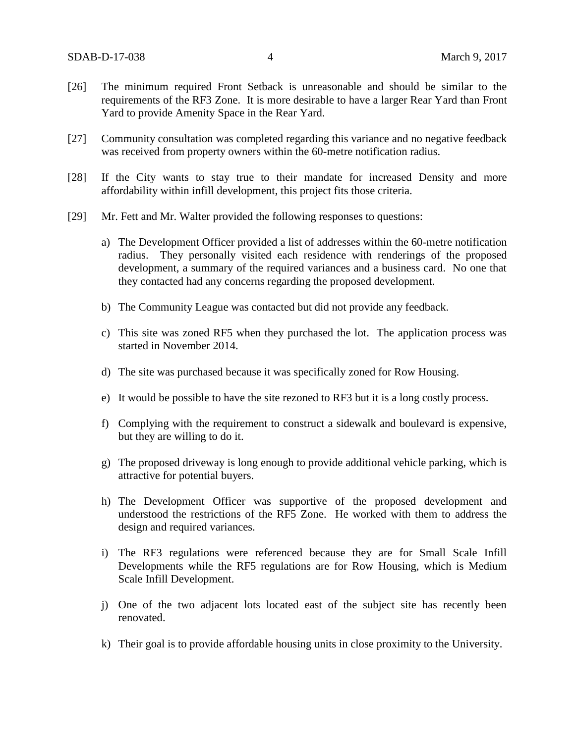- [26] The minimum required Front Setback is unreasonable and should be similar to the requirements of the RF3 Zone. It is more desirable to have a larger Rear Yard than Front Yard to provide Amenity Space in the Rear Yard.
- [27] Community consultation was completed regarding this variance and no negative feedback was received from property owners within the 60-metre notification radius.
- [28] If the City wants to stay true to their mandate for increased Density and more affordability within infill development, this project fits those criteria.
- [29] Mr. Fett and Mr. Walter provided the following responses to questions:
	- a) The Development Officer provided a list of addresses within the 60-metre notification radius. They personally visited each residence with renderings of the proposed development, a summary of the required variances and a business card. No one that they contacted had any concerns regarding the proposed development.
	- b) The Community League was contacted but did not provide any feedback.
	- c) This site was zoned RF5 when they purchased the lot. The application process was started in November 2014.
	- d) The site was purchased because it was specifically zoned for Row Housing.
	- e) It would be possible to have the site rezoned to RF3 but it is a long costly process.
	- f) Complying with the requirement to construct a sidewalk and boulevard is expensive, but they are willing to do it.
	- g) The proposed driveway is long enough to provide additional vehicle parking, which is attractive for potential buyers.
	- h) The Development Officer was supportive of the proposed development and understood the restrictions of the RF5 Zone. He worked with them to address the design and required variances.
	- i) The RF3 regulations were referenced because they are for Small Scale Infill Developments while the RF5 regulations are for Row Housing, which is Medium Scale Infill Development.
	- j) One of the two adjacent lots located east of the subject site has recently been renovated.
	- k) Their goal is to provide affordable housing units in close proximity to the University.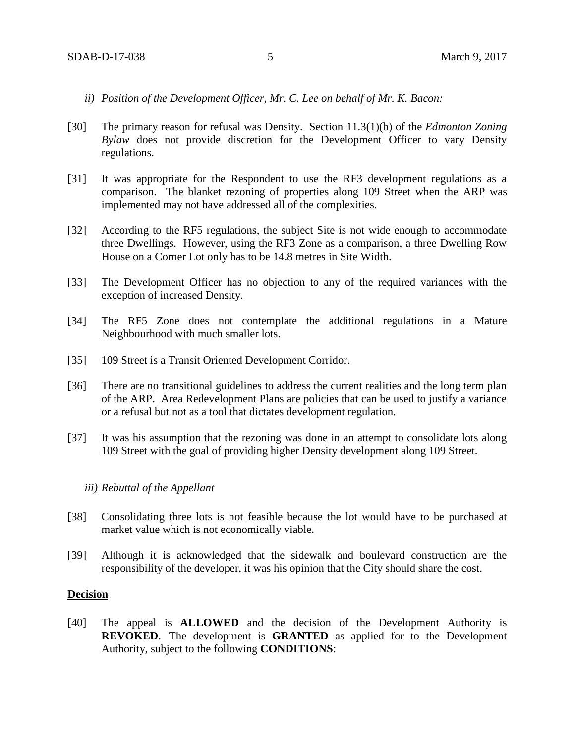- *ii) Position of the Development Officer, Mr. C. Lee on behalf of Mr. K. Bacon:*
- [30] The primary reason for refusal was Density. Section 11.3(1)(b) of the *Edmonton Zoning Bylaw* does not provide discretion for the Development Officer to vary Density regulations.
- [31] It was appropriate for the Respondent to use the RF3 development regulations as a comparison. The blanket rezoning of properties along 109 Street when the ARP was implemented may not have addressed all of the complexities.
- [32] According to the RF5 regulations, the subject Site is not wide enough to accommodate three Dwellings. However, using the RF3 Zone as a comparison, a three Dwelling Row House on a Corner Lot only has to be 14.8 metres in Site Width.
- [33] The Development Officer has no objection to any of the required variances with the exception of increased Density.
- [34] The RF5 Zone does not contemplate the additional regulations in a Mature Neighbourhood with much smaller lots.
- [35] 109 Street is a Transit Oriented Development Corridor.
- [36] There are no transitional guidelines to address the current realities and the long term plan of the ARP. Area Redevelopment Plans are policies that can be used to justify a variance or a refusal but not as a tool that dictates development regulation.
- [37] It was his assumption that the rezoning was done in an attempt to consolidate lots along 109 Street with the goal of providing higher Density development along 109 Street.

### *iii) Rebuttal of the Appellant*

- [38] Consolidating three lots is not feasible because the lot would have to be purchased at market value which is not economically viable.
- [39] Although it is acknowledged that the sidewalk and boulevard construction are the responsibility of the developer, it was his opinion that the City should share the cost.

### **Decision**

[40] The appeal is **ALLOWED** and the decision of the Development Authority is **REVOKED**. The development is **GRANTED** as applied for to the Development Authority, subject to the following **CONDITIONS**: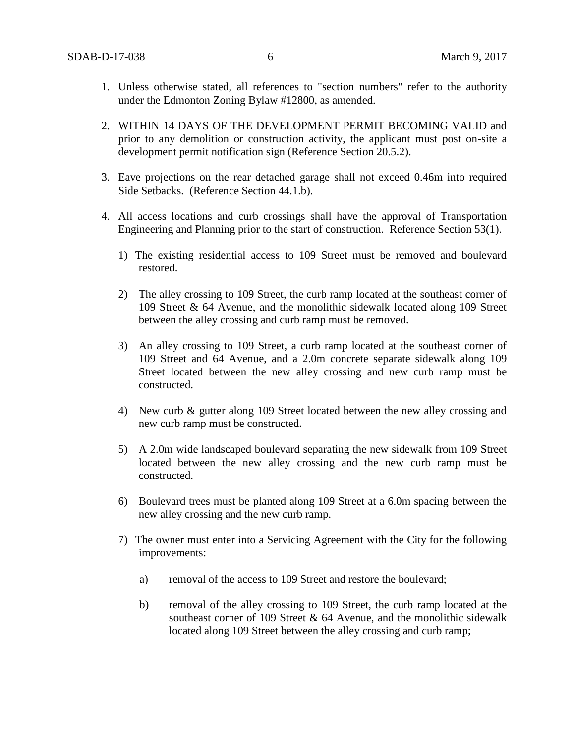- 1. Unless otherwise stated, all references to "section numbers" refer to the authority under the Edmonton Zoning Bylaw #12800, as amended.
- 2. WITHIN 14 DAYS OF THE DEVELOPMENT PERMIT BECOMING VALID and prior to any demolition or construction activity, the applicant must post on-site a development permit notification sign (Reference Section 20.5.2).
- 3. Eave projections on the rear detached garage shall not exceed 0.46m into required Side Setbacks. (Reference Section 44.1.b).
- 4. All access locations and curb crossings shall have the approval of Transportation Engineering and Planning prior to the start of construction. Reference Section 53(1).
	- 1) The existing residential access to 109 Street must be removed and boulevard restored.
	- 2) The alley crossing to 109 Street, the curb ramp located at the southeast corner of 109 Street & 64 Avenue, and the monolithic sidewalk located along 109 Street between the alley crossing and curb ramp must be removed.
	- 3) An alley crossing to 109 Street, a curb ramp located at the southeast corner of 109 Street and 64 Avenue, and a 2.0m concrete separate sidewalk along 109 Street located between the new alley crossing and new curb ramp must be constructed.
	- 4) New curb & gutter along 109 Street located between the new alley crossing and new curb ramp must be constructed.
	- 5) A 2.0m wide landscaped boulevard separating the new sidewalk from 109 Street located between the new alley crossing and the new curb ramp must be constructed.
	- 6) Boulevard trees must be planted along 109 Street at a 6.0m spacing between the new alley crossing and the new curb ramp.
	- 7) The owner must enter into a Servicing Agreement with the City for the following improvements:
		- a) removal of the access to 109 Street and restore the boulevard;
		- b) removal of the alley crossing to 109 Street, the curb ramp located at the southeast corner of 109 Street  $& 64$  Avenue, and the monolithic sidewalk located along 109 Street between the alley crossing and curb ramp;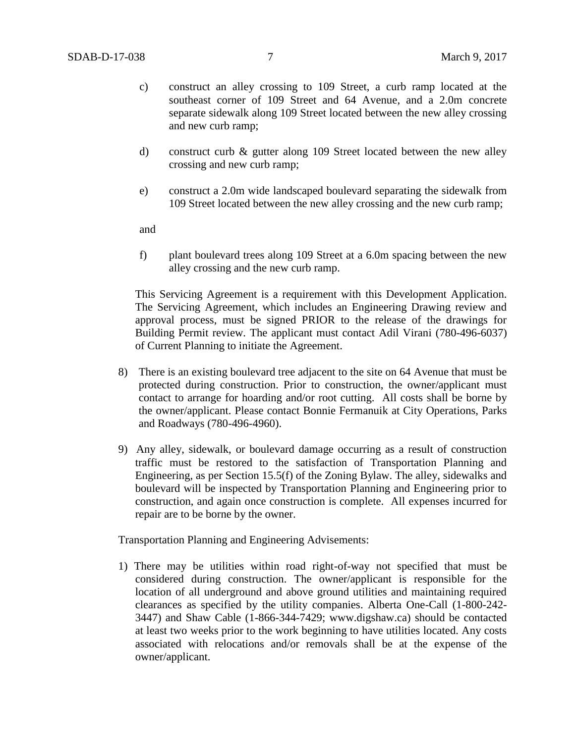- c) construct an alley crossing to 109 Street, a curb ramp located at the southeast corner of 109 Street and 64 Avenue, and a 2.0m concrete separate sidewalk along 109 Street located between the new alley crossing and new curb ramp;
- d) construct curb & gutter along 109 Street located between the new alley crossing and new curb ramp;
- e) construct a 2.0m wide landscaped boulevard separating the sidewalk from 109 Street located between the new alley crossing and the new curb ramp;

and

f) plant boulevard trees along 109 Street at a 6.0m spacing between the new alley crossing and the new curb ramp.

This Servicing Agreement is a requirement with this Development Application. The Servicing Agreement, which includes an Engineering Drawing review and approval process, must be signed PRIOR to the release of the drawings for Building Permit review. The applicant must contact Adil Virani (780-496-6037) of Current Planning to initiate the Agreement.

- 8) There is an existing boulevard tree adjacent to the site on 64 Avenue that must be protected during construction. Prior to construction, the owner/applicant must contact to arrange for hoarding and/or root cutting. All costs shall be borne by the owner/applicant. Please contact Bonnie Fermanuik at City Operations, Parks and Roadways (780-496-4960).
- 9) Any alley, sidewalk, or boulevard damage occurring as a result of construction traffic must be restored to the satisfaction of Transportation Planning and Engineering, as per Section 15.5(f) of the Zoning Bylaw. The alley, sidewalks and boulevard will be inspected by Transportation Planning and Engineering prior to construction, and again once construction is complete. All expenses incurred for repair are to be borne by the owner.

Transportation Planning and Engineering Advisements:

1) There may be utilities within road right-of-way not specified that must be considered during construction. The owner/applicant is responsible for the location of all underground and above ground utilities and maintaining required clearances as specified by the utility companies. Alberta One-Call (1-800-242- 3447) and Shaw Cable (1-866-344-7429; www.digshaw.ca) should be contacted at least two weeks prior to the work beginning to have utilities located. Any costs associated with relocations and/or removals shall be at the expense of the owner/applicant.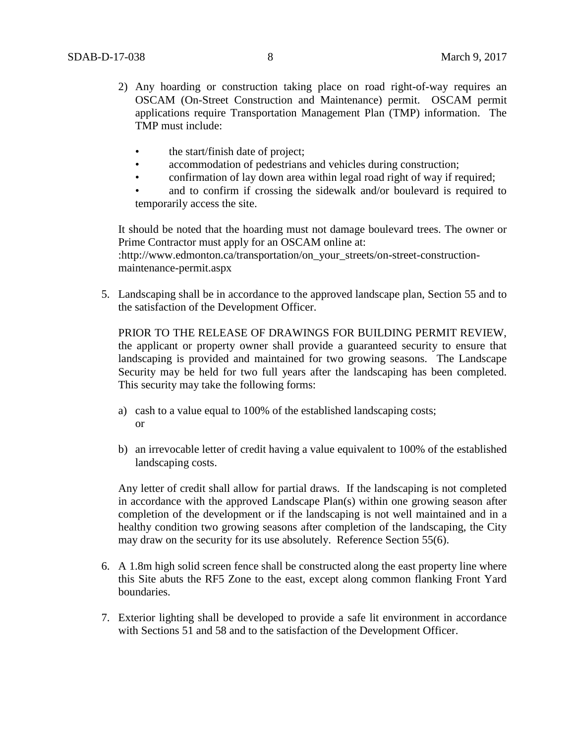- 2) Any hoarding or construction taking place on road right-of-way requires an OSCAM (On-Street Construction and Maintenance) permit. OSCAM permit applications require Transportation Management Plan (TMP) information. The TMP must include:
	- the start/finish date of project;
	- accommodation of pedestrians and vehicles during construction;
	- confirmation of lay down area within legal road right of way if required;

and to confirm if crossing the sidewalk and/or boulevard is required to temporarily access the site.

It should be noted that the hoarding must not damage boulevard trees. The owner or Prime Contractor must apply for an OSCAM online at: :http://www.edmonton.ca/transportation/on\_your\_streets/on-street-construction-

maintenance-permit.aspx

5. Landscaping shall be in accordance to the approved landscape plan, Section 55 and to the satisfaction of the Development Officer.

PRIOR TO THE RELEASE OF DRAWINGS FOR BUILDING PERMIT REVIEW, the applicant or property owner shall provide a guaranteed security to ensure that landscaping is provided and maintained for two growing seasons. The Landscape Security may be held for two full years after the landscaping has been completed. This security may take the following forms:

- a) cash to a value equal to 100% of the established landscaping costs; or
	- b) an irrevocable letter of credit having a value equivalent to 100% of the established landscaping costs.

Any letter of credit shall allow for partial draws. If the landscaping is not completed in accordance with the approved Landscape Plan(s) within one growing season after completion of the development or if the landscaping is not well maintained and in a healthy condition two growing seasons after completion of the landscaping, the City may draw on the security for its use absolutely. Reference Section 55(6).

- 6. A 1.8m high solid screen fence shall be constructed along the east property line where this Site abuts the RF5 Zone to the east, except along common flanking Front Yard boundaries.
- 7. Exterior lighting shall be developed to provide a safe lit environment in accordance with Sections 51 and 58 and to the satisfaction of the Development Officer.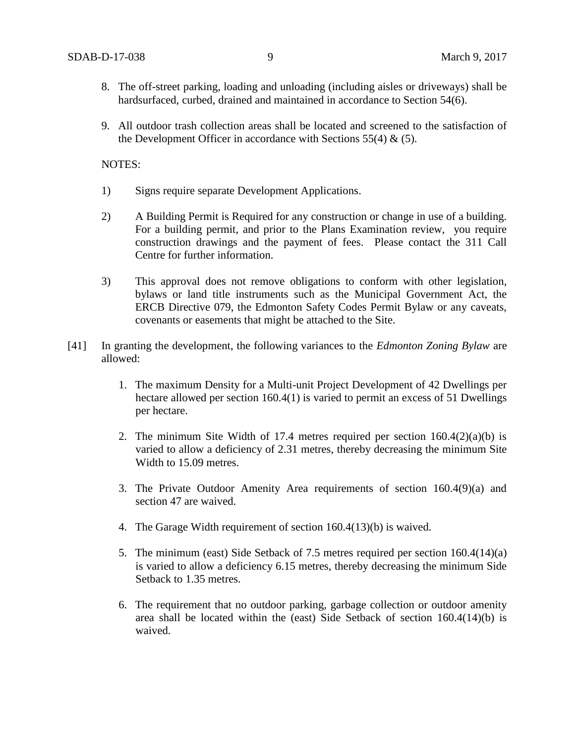- 8. The off-street parking, loading and unloading (including aisles or driveways) shall be hardsurfaced, curbed, drained and maintained in accordance to Section 54(6).
- 9. All outdoor trash collection areas shall be located and screened to the satisfaction of the Development Officer in accordance with Sections  $55(4)$  &  $(5)$ .

NOTES:

- 1) Signs require separate Development Applications.
- 2) A Building Permit is Required for any construction or change in use of a building. For a building permit, and prior to the Plans Examination review, you require construction drawings and the payment of fees. Please contact the 311 Call Centre for further information.
- 3) This approval does not remove obligations to conform with other legislation, bylaws or land title instruments such as the Municipal Government Act, the ERCB Directive 079, the Edmonton Safety Codes Permit Bylaw or any caveats, covenants or easements that might be attached to the Site.
- [41] In granting the development, the following variances to the *Edmonton Zoning Bylaw* are allowed:
	- 1. The maximum Density for a Multi-unit Project Development of 42 Dwellings per hectare allowed per section 160.4(1) is varied to permit an excess of 51 Dwellings per hectare.
	- 2. The minimum Site Width of 17.4 metres required per section  $160.4(2)(a)(b)$  is varied to allow a deficiency of 2.31 metres, thereby decreasing the minimum Site Width to 15.09 metres.
	- 3. The Private Outdoor Amenity Area requirements of section 160.4(9)(a) and section 47 are waived.
	- 4. The Garage Width requirement of section 160.4(13)(b) is waived.
	- 5. The minimum (east) Side Setback of 7.5 metres required per section 160.4(14)(a) is varied to allow a deficiency 6.15 metres, thereby decreasing the minimum Side Setback to 1.35 metres.
	- 6. The requirement that no outdoor parking, garbage collection or outdoor amenity area shall be located within the (east) Side Setback of section 160.4(14)(b) is waived.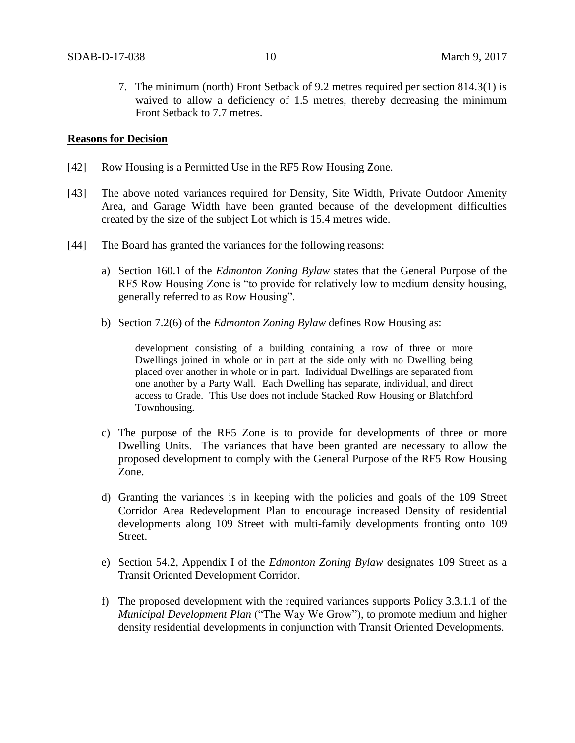7. The minimum (north) Front Setback of 9.2 metres required per section 814.3(1) is waived to allow a deficiency of 1.5 metres, thereby decreasing the minimum Front Setback to 7.7 metres.

### **Reasons for Decision**

- [42] Row Housing is a Permitted Use in the RF5 Row Housing Zone.
- [43] The above noted variances required for Density, Site Width, Private Outdoor Amenity Area, and Garage Width have been granted because of the development difficulties created by the size of the subject Lot which is 15.4 metres wide.
- [44] The Board has granted the variances for the following reasons:
	- a) Section 160.1 of the *Edmonton Zoning Bylaw* states that the General Purpose of the RF5 Row Housing Zone is "to provide for relatively low to medium density housing, generally referred to as Row Housing".
	- b) Section 7.2(6) of the *Edmonton Zoning Bylaw* defines Row Housing as:

development consisting of a building containing a row of three or more Dwellings joined in whole or in part at the side only with no Dwelling being placed over another in whole or in part. Individual Dwellings are separated from one another by a Party Wall. Each Dwelling has separate, individual, and direct access to Grade. This Use does not include Stacked Row Housing or Blatchford Townhousing.

- c) The purpose of the RF5 Zone is to provide for developments of three or more Dwelling Units. The variances that have been granted are necessary to allow the proposed development to comply with the General Purpose of the RF5 Row Housing Zone.
- d) Granting the variances is in keeping with the policies and goals of the 109 Street Corridor Area Redevelopment Plan to encourage increased Density of residential developments along 109 Street with multi-family developments fronting onto 109 Street.
- e) Section 54.2, Appendix I of the *Edmonton Zoning Bylaw* designates 109 Street as a Transit Oriented Development Corridor.
- f) The proposed development with the required variances supports Policy 3.3.1.1 of the *Municipal Development Plan* ("The Way We Grow"), to promote medium and higher density residential developments in conjunction with Transit Oriented Developments.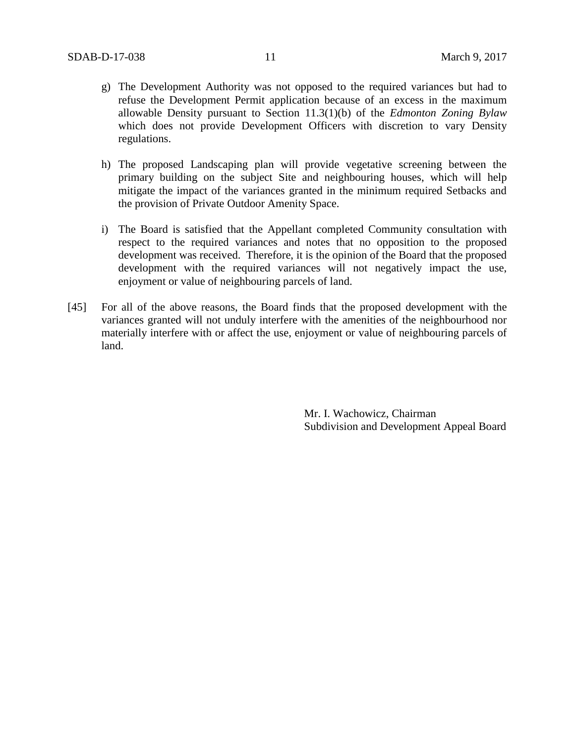- g) The Development Authority was not opposed to the required variances but had to refuse the Development Permit application because of an excess in the maximum allowable Density pursuant to Section 11.3(1)(b) of the *Edmonton Zoning Bylaw* which does not provide Development Officers with discretion to vary Density regulations.
- h) The proposed Landscaping plan will provide vegetative screening between the primary building on the subject Site and neighbouring houses, which will help mitigate the impact of the variances granted in the minimum required Setbacks and the provision of Private Outdoor Amenity Space.
- i) The Board is satisfied that the Appellant completed Community consultation with respect to the required variances and notes that no opposition to the proposed development was received. Therefore, it is the opinion of the Board that the proposed development with the required variances will not negatively impact the use, enjoyment or value of neighbouring parcels of land.
- [45] For all of the above reasons, the Board finds that the proposed development with the variances granted will not unduly interfere with the amenities of the neighbourhood nor materially interfere with or affect the use, enjoyment or value of neighbouring parcels of land.

Mr. I. Wachowicz, Chairman Subdivision and Development Appeal Board